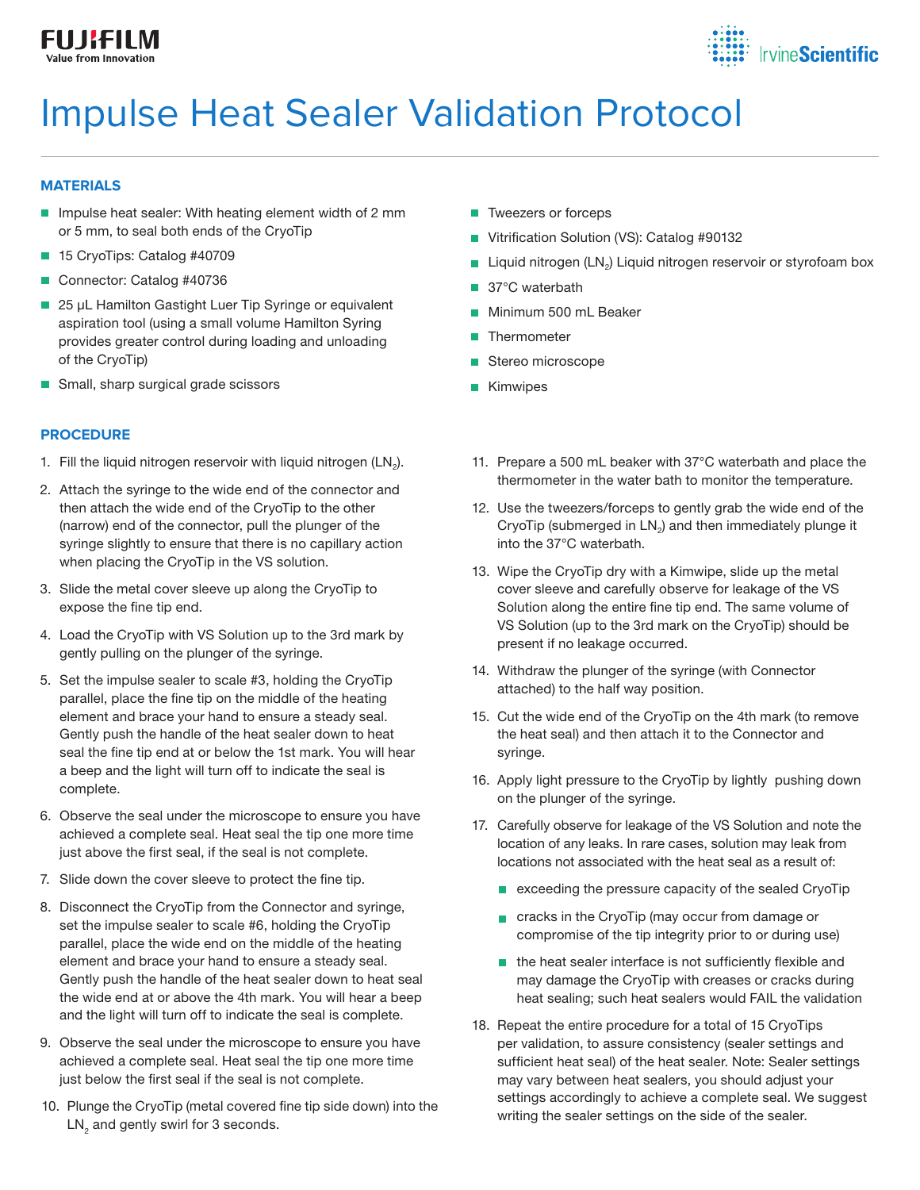



# Impulse Heat Sealer Validation Protocol

# **MATERIALS**

- Impulse heat sealer: With heating element width of 2 mm or 5 mm, to seal both ends of the CryoTip
- 15 CryoTips: Catalog #40709
- Connector: Catalog #40736
- **25 μL Hamilton Gastight Luer Tip Syringe or equivalent** aspiration tool (using a small volume Hamilton Syring provides greater control during loading and unloading of the CryoTip)
- Small, sharp surgical grade scissors

# **PROCEDURE**

- 1. Fill the liquid nitrogen reservoir with liquid nitrogen (LN<sub>2</sub>).
- 2. Attach the syringe to the wide end of the connector and then attach the wide end of the CryoTip to the other (narrow) end of the connector, pull the plunger of the syringe slightly to ensure that there is no capillary action when placing the CryoTip in the VS solution.
- 3. Slide the metal cover sleeve up along the CryoTip to expose the fine tip end.
- 4. Load the CryoTip with VS Solution up to the 3rd mark by gently pulling on the plunger of the syringe.
- 5. Set the impulse sealer to scale #3, holding the CryoTip parallel, place the fine tip on the middle of the heating element and brace your hand to ensure a steady seal. Gently push the handle of the heat sealer down to heat seal the fine tip end at or below the 1st mark. You will hear a beep and the light will turn off to indicate the seal is complete.
- 6. Observe the seal under the microscope to ensure you have achieved a complete seal. Heat seal the tip one more time just above the first seal, if the seal is not complete.
- 7. Slide down the cover sleeve to protect the fine tip.
- 8. Disconnect the CryoTip from the Connector and syringe, set the impulse sealer to scale #6, holding the CryoTip parallel, place the wide end on the middle of the heating element and brace your hand to ensure a steady seal. Gently push the handle of the heat sealer down to heat seal the wide end at or above the 4th mark. You will hear a beep and the light will turn off to indicate the seal is complete.
- 9. Observe the seal under the microscope to ensure you have achieved a complete seal. Heat seal the tip one more time just below the first seal if the seal is not complete.
- 10. Plunge the CryoTip (metal covered fine tip side down) into the  $\mathsf{LN}_2$  and gently swirl for 3 seconds.
- **T** Tweezers or forceps
- Vitrification Solution (VS): Catalog #90132
- **Liquid nitrogen (LN<sub>2</sub>) Liquid nitrogen reservoir or styrofoam box**
- 37°C waterbath
- **Minimum 500 mL Beaker**
- **Thermometer**
- Stereo microscope
- **Kimwipes**
- 11. Prepare a 500 mL beaker with 37°C waterbath and place the thermometer in the water bath to monitor the temperature.
- 12. Use the tweezers/forceps to gently grab the wide end of the CryoTip (submerged in LN<sub>2</sub>) and then immediately plunge it into the 37°C waterbath.
- 13. Wipe the CryoTip dry with a Kimwipe, slide up the metal cover sleeve and carefully observe for leakage of the VS Solution along the entire fine tip end. The same volume of VS Solution (up to the 3rd mark on the CryoTip) should be present if no leakage occurred.
- 14. Withdraw the plunger of the syringe (with Connector attached) to the half way position.
- 15. Cut the wide end of the CryoTip on the 4th mark (to remove the heat seal) and then attach it to the Connector and syringe.
- 16. Apply light pressure to the CryoTip by lightly pushing down on the plunger of the syringe.
- 17. Carefully observe for leakage of the VS Solution and note the location of any leaks. In rare cases, solution may leak from locations not associated with the heat seal as a result of:
	- **E** exceeding the pressure capacity of the sealed CryoTip
	- cracks in the CryoTip (may occur from damage or compromise of the tip integrity prior to or during use)
	- $\blacksquare$  the heat sealer interface is not sufficiently flexible and may damage the CryoTip with creases or cracks during heat sealing; such heat sealers would FAIL the validation
- 18. Repeat the entire procedure for a total of 15 CryoTips per validation, to assure consistency (sealer settings and sufficient heat seal) of the heat sealer. Note: Sealer settings may vary between heat sealers, you should adjust your settings accordingly to achieve a complete seal. We suggest writing the sealer settings on the side of the sealer.